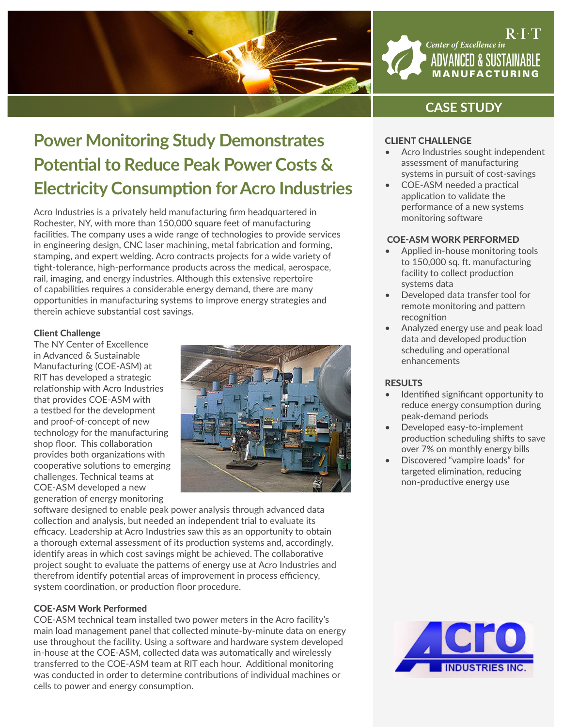

## $\mathsf{R}\cdot\mathsf{I}\cdot\mathsf{T}$ *Center of Excellence in* ADVANCED & SUSTAINABLE MANUFACTURING

# **CASE STUDY**

# **Power Monitoring Study Demonstrates Potential to Reduce Peak Power Costs & Electricity Consumption for Acro Industries**

Acro Industries is a privately held manufacturing firm headquartered in Rochester, NY, with more than 150,000 square feet of manufacturing facilities. The company uses a wide range of technologies to provide services in engineering design, CNC laser machining, metal fabrication and forming, stamping, and expert welding. Acro contracts projects for a wide variety of tight-tolerance, high-performance products across the medical, aerospace, rail, imaging, and energy industries. Although this extensive repertoire of capabilities requires a considerable energy demand, there are many opportunities in manufacturing systems to improve energy strategies and therein achieve substantial cost savings.

#### Client Challenge

The NY Center of Excellence in Advanced & Sustainable Manufacturing (COE-ASM) at RIT has developed a strategic relationship with Acro Industries that provides COE-ASM with a testbed for the development and proof-of-concept of new technology for the manufacturing shop floor. This collaboration provides both organizations with cooperative solutions to emerging challenges. Technical teams at COE-ASM developed a new generation of energy monitoring



software designed to enable peak power analysis through advanced data collection and analysis, but needed an independent trial to evaluate its efficacy. Leadership at Acro Industries saw this as an opportunity to obtain a thorough external assessment of its production systems and, accordingly, identify areas in which cost savings might be achieved. The collaborative project sought to evaluate the patterns of energy use at Acro Industries and therefrom identify potential areas of improvement in process efficiency, system coordination, or production floor procedure.

### COE-ASM Work Performed

COE-ASM technical team installed two power meters in the Acro facility's main load management panel that collected minute-by-minute data on energy use throughout the facility. Using a software and hardware system developed in-house at the COE-ASM, collected data was automatically and wirelessly transferred to the COE-ASM team at RIT each hour. Additional monitoring was conducted in order to determine contributions of individual machines or cells to power and energy consumption.

## CLIENT CHALLENGE

- Acro Industries sought independent assessment of manufacturing systems in pursuit of cost-savings
- COE-ASM needed a practical application to validate the performance of a new systems monitoring software

#### COE-ASM WORK PERFORMED

- Applied in-house monitoring tools to 150,000 sq. ft. manufacturing facility to collect production systems data
- Developed data transfer tool for remote monitoring and pattern recognition
- Analyzed energy use and peak load data and developed production scheduling and operational enhancements

#### **RESULTS**

- Identified significant opportunity to reduce energy consumption during peak-demand periods
- Developed easy-to-implement production scheduling shifts to save over 7% on monthly energy bills
- Discovered "vampire loads" for targeted elimination, reducing non-productive energy use